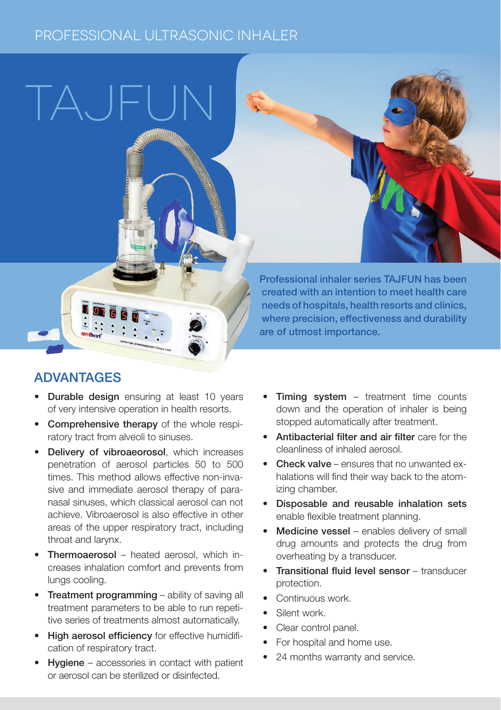## PROFESSIONAL ULTRASONIC INHALER



 $\Box A$ 

- Durable design ensuring at least 10 years of very intensive operation in health resorts.
- Comprehensive therapy of the whole respiratory tract from alveoli to sinuses.
- Delivery of vibroaeorosol, which increases penetration of aerosol particles 50 to 500 times. This method allows effective non-invasive and immediate aerosol therapy of paranasal sinuses, which classical aerosol can not achieve. Vibroaerosol is also effective in other areas of the upper respiratory tract, including throat and larynx.
- Thermoaerosol heated aerosol, which increases inhalation comfort and prevents from lungs cooling.
- Treatment programming ability of saving all treatment parameters to be able to run repetitive series of treatments almost automatically.
- High aerosol efficiency for effective humidification of respiratory tract.
- Hygiene accessories in contact with patient or aerosol can be sterilized or disinfected.

**Timing system** – treatment time counts down and the operation of inhaler is being stopped automatically after treatment.

Professional inhaler series TAJFUN has been created with an intention to meet health care needs of hospitals, health resorts and clinics, where precision, effectiveness and durability

are of utmost importance.

- • Antibacterial filter and air filter care for the cleanliness of inhaled aerosol.
- Check valve ensures that no unwanted exhalations will find their way back to the atomizing chamber.
- • Disposable and reusable inhalation sets enable flexible treatment planning.
- Medicine vessel enables delivery of small drug amounts and protects the drug from overheating by a transducer.
- **Transitional fluid level sensor transducer** protection.
- Continuous work
- Silent work.
- Clear control panel.
- For hospital and home use.
- 24 months warranty and service.